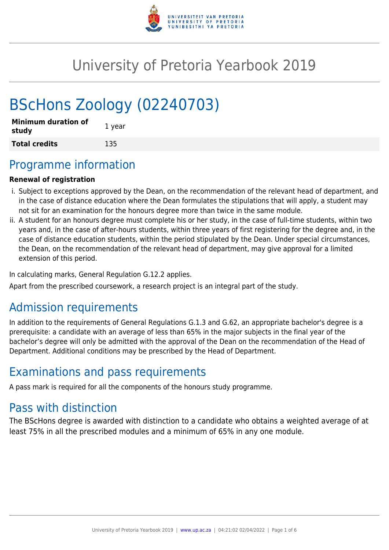

# University of Pretoria Yearbook 2019

# BScHons Zoology (02240703)

| <b>Minimum duration of</b><br>study | 1 year |
|-------------------------------------|--------|
| <b>Total credits</b>                | 135    |

# Programme information

## **Renewal of registration**

- i. Subject to exceptions approved by the Dean, on the recommendation of the relevant head of department, and in the case of distance education where the Dean formulates the stipulations that will apply, a student may not sit for an examination for the honours degree more than twice in the same module.
- ii. A student for an honours degree must complete his or her study, in the case of full-time students, within two years and, in the case of after-hours students, within three years of first registering for the degree and, in the case of distance education students, within the period stipulated by the Dean. Under special circumstances, the Dean, on the recommendation of the relevant head of department, may give approval for a limited extension of this period.

In calculating marks, General Regulation G.12.2 applies.

Apart from the prescribed coursework, a research project is an integral part of the study.

# Admission requirements

In addition to the requirements of General Regulations G.1.3 and G.62, an appropriate bachelor's degree is a prerequisite: a candidate with an average of less than 65% in the major subjects in the final year of the bachelor's degree will only be admitted with the approval of the Dean on the recommendation of the Head of Department. Additional conditions may be prescribed by the Head of Department.

# Examinations and pass requirements

A pass mark is required for all the components of the honours study programme.

# Pass with distinction

The BScHons degree is awarded with distinction to a candidate who obtains a weighted average of at least 75% in all the prescribed modules and a minimum of 65% in any one module.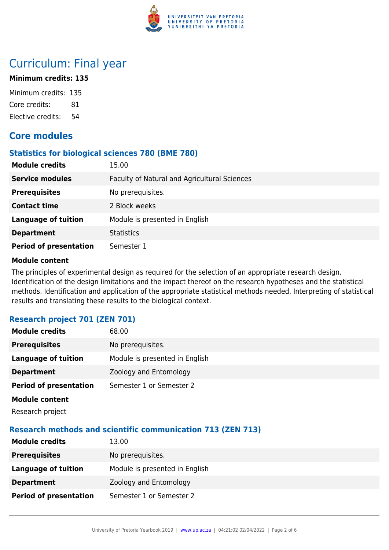

# Curriculum: Final year

### **Minimum credits: 135**

Minimum credits: 135 Core credits: 81 Elective credits: 54

# **Core modules**

#### **Statistics for biological sciences 780 (BME 780)**

| <b>Module credits</b>         | 15.00                                        |
|-------------------------------|----------------------------------------------|
| <b>Service modules</b>        | Faculty of Natural and Agricultural Sciences |
| <b>Prerequisites</b>          | No prerequisites.                            |
| <b>Contact time</b>           | 2 Block weeks                                |
| <b>Language of tuition</b>    | Module is presented in English               |
| <b>Department</b>             | <b>Statistics</b>                            |
| <b>Period of presentation</b> | Semester 1                                   |

#### **Module content**

The principles of experimental design as required for the selection of an appropriate research design. Identification of the design limitations and the impact thereof on the research hypotheses and the statistical methods. Identification and application of the appropriate statistical methods needed. Interpreting of statistical results and translating these results to the biological context.

## **Research project 701 (ZEN 701)**

| <b>Module credits</b>         | 68.00                          |
|-------------------------------|--------------------------------|
| <b>Prerequisites</b>          | No prerequisites.              |
| Language of tuition           | Module is presented in English |
| <b>Department</b>             | Zoology and Entomology         |
| <b>Period of presentation</b> | Semester 1 or Semester 2       |
|                               |                                |

**Module content** Research project

# **Research methods and scientific communication 713 (ZEN 713)**

| <b>Module credits</b>         | 13.00                          |
|-------------------------------|--------------------------------|
| <b>Prerequisites</b>          | No prerequisites.              |
| Language of tuition           | Module is presented in English |
| <b>Department</b>             | Zoology and Entomology         |
| <b>Period of presentation</b> | Semester 1 or Semester 2       |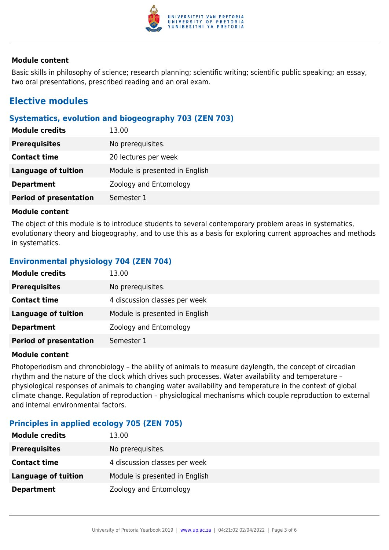

#### **Module content**

Basic skills in philosophy of science; research planning; scientific writing; scientific public speaking; an essay, two oral presentations, prescribed reading and an oral exam.

# **Elective modules**

#### **Systematics, evolution and biogeography 703 (ZEN 703)**

| <b>Module credits</b>         | 13.00                          |
|-------------------------------|--------------------------------|
| <b>Prerequisites</b>          | No prerequisites.              |
| <b>Contact time</b>           | 20 lectures per week           |
| Language of tuition           | Module is presented in English |
| <b>Department</b>             | Zoology and Entomology         |
| <b>Period of presentation</b> | Semester 1                     |

#### **Module content**

The object of this module is to introduce students to several contemporary problem areas in systematics, evolutionary theory and biogeography, and to use this as a basis for exploring current approaches and methods in systematics.

## **Environmental physiology 704 (ZEN 704)**

| <b>Module credits</b>         | 13.00                          |
|-------------------------------|--------------------------------|
| <b>Prerequisites</b>          | No prerequisites.              |
| <b>Contact time</b>           | 4 discussion classes per week  |
| Language of tuition           | Module is presented in English |
| <b>Department</b>             | Zoology and Entomology         |
| <b>Period of presentation</b> | Semester 1                     |

#### **Module content**

Photoperiodism and chronobiology – the ability of animals to measure daylength, the concept of circadian rhythm and the nature of the clock which drives such processes. Water availability and temperature – physiological responses of animals to changing water availability and temperature in the context of global climate change. Regulation of reproduction – physiological mechanisms which couple reproduction to external and internal environmental factors.

## **Principles in applied ecology 705 (ZEN 705)**

| <b>Module credits</b> | 13.00                          |
|-----------------------|--------------------------------|
| <b>Prerequisites</b>  | No prerequisites.              |
| <b>Contact time</b>   | 4 discussion classes per week  |
| Language of tuition   | Module is presented in English |
| <b>Department</b>     | Zoology and Entomology         |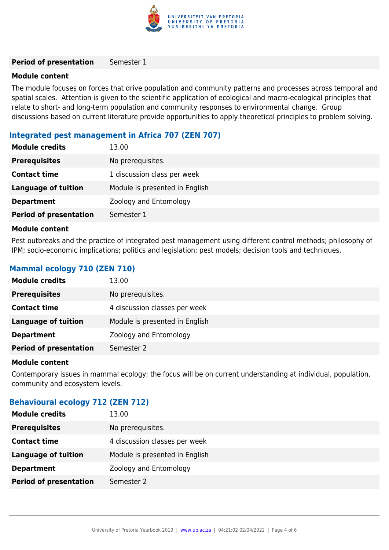

#### **Period of presentation** Semester 1

#### **Module content**

The module focuses on forces that drive population and community patterns and processes across temporal and spatial scales. Attention is given to the scientific application of ecological and macro-ecological principles that relate to short- and long-term population and community responses to environmental change. Group discussions based on current literature provide opportunities to apply theoretical principles to problem solving.

#### **Integrated pest management in Africa 707 (ZEN 707)**

| <b>Module credits</b>         | 13.00                          |
|-------------------------------|--------------------------------|
| <b>Prerequisites</b>          | No prerequisites.              |
| <b>Contact time</b>           | 1 discussion class per week    |
| <b>Language of tuition</b>    | Module is presented in English |
| <b>Department</b>             | Zoology and Entomology         |
| <b>Period of presentation</b> | Semester 1                     |

#### **Module content**

Pest outbreaks and the practice of integrated pest management using different control methods; philosophy of IPM; socio-economic implications; politics and legislation; pest models; decision tools and techniques.

### **Mammal ecology 710 (ZEN 710)**

| <b>Module credits</b>         | 13.00                          |
|-------------------------------|--------------------------------|
| <b>Prerequisites</b>          | No prerequisites.              |
| <b>Contact time</b>           | 4 discussion classes per week  |
| <b>Language of tuition</b>    | Module is presented in English |
| <b>Department</b>             | Zoology and Entomology         |
| <b>Period of presentation</b> | Semester 2                     |

#### **Module content**

Contemporary issues in mammal ecology; the focus will be on current understanding at individual, population, community and ecosystem levels.

#### **Behavioural ecology 712 (ZEN 712)**

| <b>Module credits</b>         | 13.00                          |
|-------------------------------|--------------------------------|
| <b>Prerequisites</b>          | No prerequisites.              |
| <b>Contact time</b>           | 4 discussion classes per week  |
| <b>Language of tuition</b>    | Module is presented in English |
| <b>Department</b>             | Zoology and Entomology         |
| <b>Period of presentation</b> | Semester 2                     |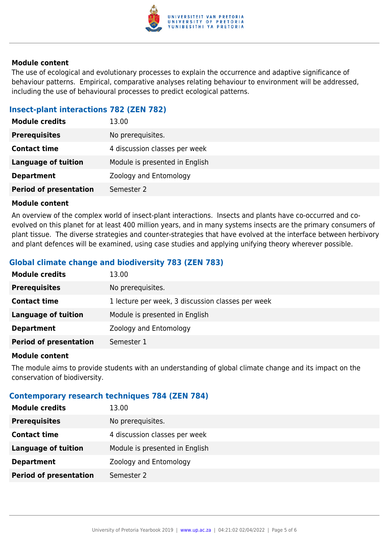

#### **Module content**

The use of ecological and evolutionary processes to explain the occurrence and adaptive significance of behaviour patterns. Empirical, comparative analyses relating behaviour to environment will be addressed, including the use of behavioural processes to predict ecological patterns.

### **Insect-plant interactions 782 (ZEN 782)**

| <b>Module credits</b>         | 13.00                          |
|-------------------------------|--------------------------------|
| <b>Prerequisites</b>          | No prerequisites.              |
| <b>Contact time</b>           | 4 discussion classes per week  |
| Language of tuition           | Module is presented in English |
| <b>Department</b>             | Zoology and Entomology         |
| <b>Period of presentation</b> | Semester 2                     |

#### **Module content**

An overview of the complex world of insect-plant interactions. Insects and plants have co-occurred and coevolved on this planet for at least 400 million years, and in many systems insects are the primary consumers of plant tissue. The diverse strategies and counter-strategies that have evolved at the interface between herbivory and plant defences will be examined, using case studies and applying unifying theory wherever possible.

## **Global climate change and biodiversity 783 (ZEN 783)**

| <b>Module credits</b>         | 13.00                                             |
|-------------------------------|---------------------------------------------------|
| <b>Prerequisites</b>          | No prerequisites.                                 |
| <b>Contact time</b>           | 1 lecture per week, 3 discussion classes per week |
| <b>Language of tuition</b>    | Module is presented in English                    |
| <b>Department</b>             | Zoology and Entomology                            |
| <b>Period of presentation</b> | Semester 1                                        |

#### **Module content**

The module aims to provide students with an understanding of global climate change and its impact on the conservation of biodiversity.

#### **Contemporary research techniques 784 (ZEN 784)**

| <b>Module credits</b>         | 13.00                          |
|-------------------------------|--------------------------------|
| <b>Prerequisites</b>          | No prerequisites.              |
| <b>Contact time</b>           | 4 discussion classes per week  |
| <b>Language of tuition</b>    | Module is presented in English |
| <b>Department</b>             | Zoology and Entomology         |
| <b>Period of presentation</b> | Semester 2                     |